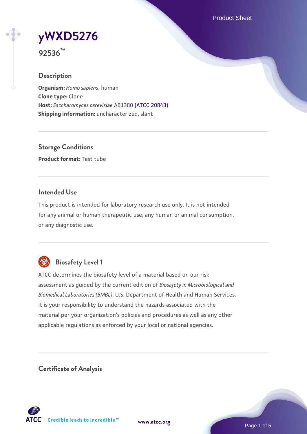Product Sheet

**[yWXD5276](https://www.atcc.org/products/92536)**

**92536™**

### **Description**

**Organism:** *Homo sapiens*, human **Clone type:** Clone **Host:** *Saccharomyces cerevisiae* AB1380 [\(ATCC 20843\)](https://www.atcc.org/products/20843) **Shipping information:** uncharacterized, slant

**Storage Conditions Product format:** Test tube

### **Intended Use**

This product is intended for laboratory research use only. It is not intended for any animal or human therapeutic use, any human or animal consumption, or any diagnostic use.



# **Biosafety Level 1**

ATCC determines the biosafety level of a material based on our risk assessment as guided by the current edition of *Biosafety in Microbiological and Biomedical Laboratories (BMBL)*, U.S. Department of Health and Human Services. It is your responsibility to understand the hazards associated with the material per your organization's policies and procedures as well as any other applicable regulations as enforced by your local or national agencies.

**Certificate of Analysis**

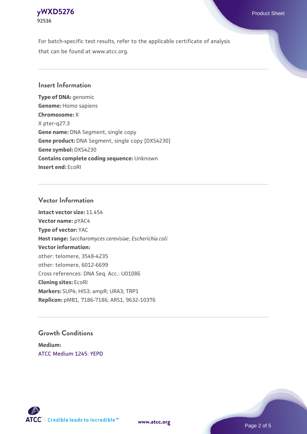

For batch-specific test results, refer to the applicable certificate of analysis that can be found at www.atcc.org.

#### **Insert Information**

**Type of DNA:** genomic **Genome:** Homo sapiens **Chromosome:** X X pter-q27.3 **Gene name:** DNA Segment, single copy **Gene product:** DNA Segment, single copy [DXS4230] **Gene symbol:** DXS4230 **Contains complete coding sequence:** Unknown **Insert end:** EcoRI

#### **Vector Information**

**Intact vector size:** 11.454 **Vector name:** pYAC4 **Type of vector:** YAC **Host range:** *Saccharomyces cerevisiae*; *Escherichia coli* **Vector information:** other: telomere, 3548-4235 other: telomere, 6012-6699 Cross references: DNA Seq. Acc.: U01086 **Cloning sites:** EcoRI **Markers:** SUP4; HIS3; ampR; URA3; TRP1 **Replicon:** pMB1, 7186-7186; ARS1, 9632-10376

### **Growth Conditions**

**Medium:**  [ATCC Medium 1245: YEPD](https://www.atcc.org/-/media/product-assets/documents/microbial-media-formulations/1/2/4/5/atcc-medium-1245.pdf?rev=705ca55d1b6f490a808a965d5c072196)



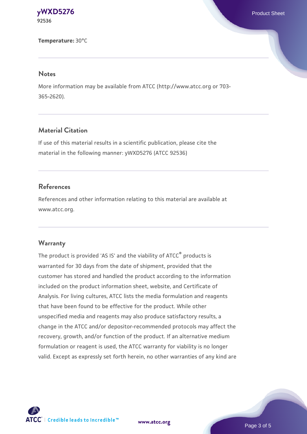**[yWXD5276](https://www.atcc.org/products/92536)** Product Sheet **92536**

**Temperature:** 30°C

#### **Notes**

More information may be available from ATCC (http://www.atcc.org or 703- 365-2620).

## **Material Citation**

If use of this material results in a scientific publication, please cite the material in the following manner: yWXD5276 (ATCC 92536)

#### **References**

References and other information relating to this material are available at www.atcc.org.

#### **Warranty**

The product is provided 'AS IS' and the viability of ATCC® products is warranted for 30 days from the date of shipment, provided that the customer has stored and handled the product according to the information included on the product information sheet, website, and Certificate of Analysis. For living cultures, ATCC lists the media formulation and reagents that have been found to be effective for the product. While other unspecified media and reagents may also produce satisfactory results, a change in the ATCC and/or depositor-recommended protocols may affect the recovery, growth, and/or function of the product. If an alternative medium formulation or reagent is used, the ATCC warranty for viability is no longer valid. Except as expressly set forth herein, no other warranties of any kind are

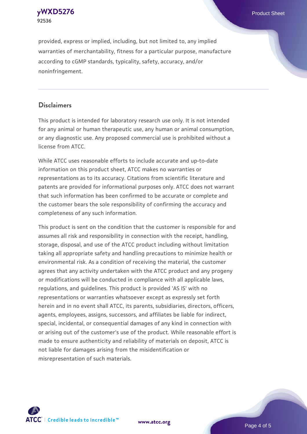

provided, express or implied, including, but not limited to, any implied warranties of merchantability, fitness for a particular purpose, manufacture according to cGMP standards, typicality, safety, accuracy, and/or noninfringement.

## **Disclaimers**

This product is intended for laboratory research use only. It is not intended for any animal or human therapeutic use, any human or animal consumption, or any diagnostic use. Any proposed commercial use is prohibited without a license from ATCC.

While ATCC uses reasonable efforts to include accurate and up-to-date information on this product sheet, ATCC makes no warranties or representations as to its accuracy. Citations from scientific literature and patents are provided for informational purposes only. ATCC does not warrant that such information has been confirmed to be accurate or complete and the customer bears the sole responsibility of confirming the accuracy and completeness of any such information.

This product is sent on the condition that the customer is responsible for and assumes all risk and responsibility in connection with the receipt, handling, storage, disposal, and use of the ATCC product including without limitation taking all appropriate safety and handling precautions to minimize health or environmental risk. As a condition of receiving the material, the customer agrees that any activity undertaken with the ATCC product and any progeny or modifications will be conducted in compliance with all applicable laws, regulations, and guidelines. This product is provided 'AS IS' with no representations or warranties whatsoever except as expressly set forth herein and in no event shall ATCC, its parents, subsidiaries, directors, officers, agents, employees, assigns, successors, and affiliates be liable for indirect, special, incidental, or consequential damages of any kind in connection with or arising out of the customer's use of the product. While reasonable effort is made to ensure authenticity and reliability of materials on deposit, ATCC is not liable for damages arising from the misidentification or misrepresentation of such materials.



**[www.atcc.org](http://www.atcc.org)**

Page 4 of 5